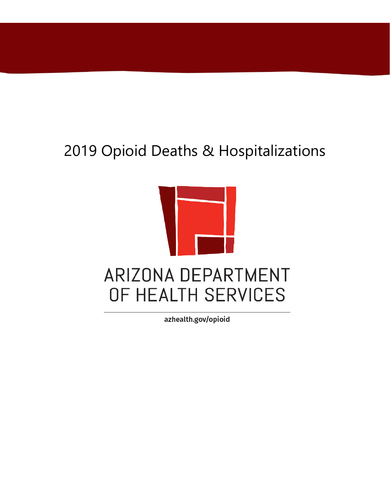## 2019 Opioid Deaths & Hospitalizations



azhealth.gov/opioid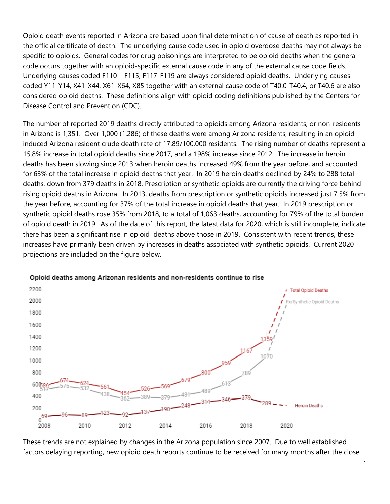Opioid death events reported in Arizona are based upon final determination of cause of death as reported in the official certificate of death. The underlying cause code used in opioid overdose deaths may not always be specific to opioids. General codes for drug poisonings are interpreted to be opioid deaths when the general code occurs together with an opioid-specific external cause code in any of the external cause code fields. Underlying causes coded F110 – F115, F117-F119 are always considered opioid deaths. Underlying causes coded Y11-Y14, X41-X44, X61-X64, X85 together with an external cause code of T40.0-T40.4, or T40.6 are also considered opioid deaths. These definitions align with opioid coding definitions published by the Centers for Disease Control and Prevention (CDC).

The number of reported 2019 deaths directly attributed to opioids among Arizona residents, or non-residents in Arizona is 1,351. Over 1,000 (1,286) of these deaths were among Arizona residents, resulting in an opioid induced Arizona resident crude death rate of 17.89/100,000 residents. The rising number of deaths represent a 15.8% increase in total opioid deaths since 2017, and a 198% increase since 2012. The increase in heroin deaths has been slowing since 2013 when heroin deaths increased 49% from the year before, and accounted for 63% of the total increase in opioid deaths that year. In 2019 heroin deaths declined by 24% to 288 total deaths, down from 379 deaths in 2018. Prescription or synthetic opioids are currently the driving force behind rising opioid deaths in Arizona. In 2013, deaths from prescription or synthetic opioids increased just 7.5% from the year before, accounting for 37% of the total increase in opioid deaths that year. In 2019 prescription or synthetic opioid deaths rose 35% from 2018, to a total of 1,063 deaths, accounting for 79% of the total burden of opioid death in 2019. As of the date of this report, the latest data for 2020, which is still incomplete, indicate there has been a significant rise in opioid deaths above those in 2019. Consistent with recent trends, these increases have primarily been driven by increases in deaths associated with synthetic opioids. Current 2020 projections are included on the figure below.



## Opioid deaths among Arizonan residents and non-residents continue to rise

These trends are not explained by changes in the Arizona population since 2007. Due to well established factors delaying reporting, new opioid death reports continue to be received for many months after the close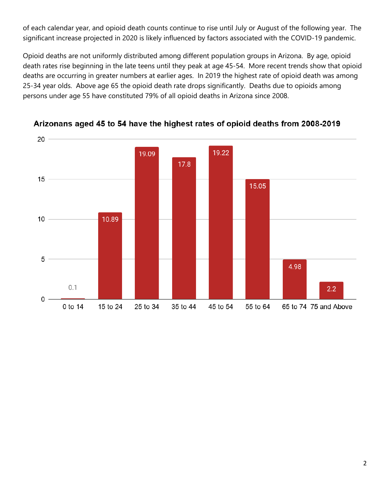of each calendar year, and opioid death counts continue to rise until July or August of the following year. The significant increase projected in 2020 is likely influenced by factors associated with the COVID-19 pandemic.

Opioid deaths are not uniformly distributed among different population groups in Arizona. By age, opioid death rates rise beginning in the late teens until they peak at age 45-54. More recent trends show that opioid deaths are occurring in greater numbers at earlier ages. In 2019 the highest rate of opioid death was among 25-34 year olds. Above age 65 the opioid death rate drops significantly. Deaths due to opioids among persons under age 55 have constituted 79% of all opioid deaths in Arizona since 2008.



Arizonans aged 45 to 54 have the highest rates of opioid deaths from 2008-2019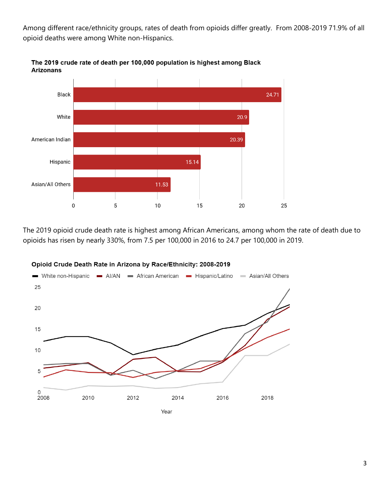Among different race/ethnicity groups, rates of death from opioids differ greatly. From 2008-2019 71.9% of all opioid deaths were among White non-Hispanics.



The 2019 crude rate of death per 100,000 population is highest among Black **Arizonans** 

The 2019 opioid crude death rate is highest among African Americans, among whom the rate of death due to opioids has risen by nearly 330%, from 7.5 per 100,000 in 2016 to 24.7 per 100,000 in 2019.



## Opioid Crude Death Rate in Arizona by Race/Ethnicity: 2008-2019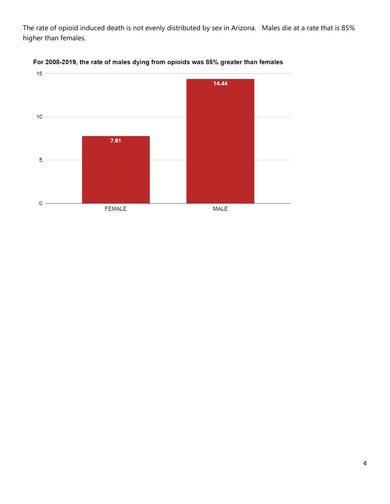The rate of opioid induced death is not evenly distributed by sex in Arizona. Males die at a rate that is 85% higher than females.



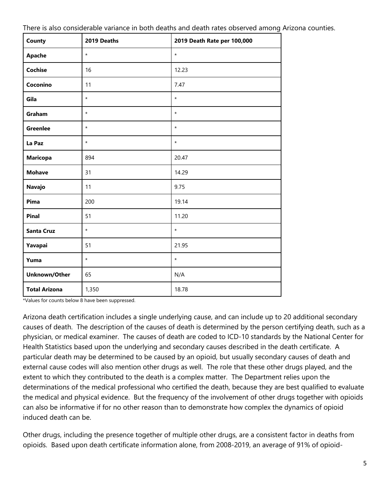| There is also considerable variance in both deaths and death rates observed among Arizona counties. |  |  |
|-----------------------------------------------------------------------------------------------------|--|--|
|                                                                                                     |  |  |
|                                                                                                     |  |  |

| County               | 2019 Deaths | 2019 Death Rate per 100,000 |
|----------------------|-------------|-----------------------------|
| Apache               | $\star$     | $\star$                     |
| <b>Cochise</b>       | 16          | 12.23                       |
| Coconino             | 11          | 7.47                        |
| Gila                 | $\star$     | $\star$                     |
| Graham               | $\star$     | $\star$                     |
| <b>Greenlee</b>      | $\star$     | $\star$                     |
| La Paz               | $\star$     | $\star$                     |
| <b>Maricopa</b>      | 894         | 20.47                       |
| <b>Mohave</b>        | 31          | 14.29                       |
| Navajo               | 11          | 9.75                        |
| Pima                 | 200         | 19.14                       |
| <b>Pinal</b>         | 51          | 11.20                       |
| <b>Santa Cruz</b>    | $\star$     | $\star$                     |
| Yavapai              | 51          | 21.95                       |
| Yuma                 | $\star$     | $\star$                     |
| Unknown/Other        | 65          | N/A                         |
| <b>Total Arizona</b> | 1,350       | 18.78                       |

\*Values for counts below 8 have been suppressed.

Arizona death certification includes a single underlying cause, and can include up to 20 additional secondary causes of death. The description of the causes of death is determined by the person certifying death, such as a physician, or medical examiner. The causes of death are coded to ICD-10 standards by the National Center for Health Statistics based upon the underlying and secondary causes described in the death certificate. A particular death may be determined to be caused by an opioid, but usually secondary causes of death and external cause codes will also mention other drugs as well. The role that these other drugs played, and the extent to which they contributed to the death is a complex matter. The Department relies upon the determinations of the medical professional who certified the death, because they are best qualified to evaluate the medical and physical evidence. But the frequency of the involvement of other drugs together with opioids can also be informative if for no other reason than to demonstrate how complex the dynamics of opioid induced death can be.

Other drugs, including the presence together of multiple other drugs, are a consistent factor in deaths from opioids. Based upon death certificate information alone, from 2008-2019, an average of 91% of opioid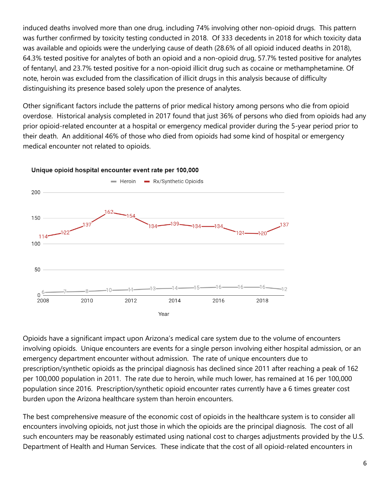induced deaths involved more than one drug, including 74% involving other non-opioid drugs. This pattern was further confirmed by toxicity testing conducted in 2018. Of 333 decedents in 2018 for which toxicity data was available and opioids were the underlying cause of death (28.6% of all opioid induced deaths in 2018), 64.3% tested positive for analytes of both an opioid and a non-opioid drug, 57.7% tested positive for analytes of fentanyl, and 23.7% tested positive for a non-opioid illicit drug such as cocaine or methamphetamine. Of note, heroin was excluded from the classification of illicit drugs in this analysis because of difficulty distinguishing its presence based solely upon the presence of analytes.

Other significant factors include the patterns of prior medical history among persons who die from opioid overdose. Historical analysis completed in 2017 found that just 36% of persons who died from opioids had any prior opioid-related encounter at a hospital or emergency medical provider during the 5-year period prior to their death. An additional 46% of those who died from opioids had some kind of hospital or emergency medical encounter not related to opioids.



## Unique opioid hospital encounter event rate per 100,000

Opioids have a significant impact upon Arizona's medical care system due to the volume of encounters involving opioids. Unique encounters are events for a single person involving either hospital admission, or an emergency department encounter without admission. The rate of unique encounters due to prescription/synthetic opioids as the principal diagnosis has declined since 2011 after reaching a peak of 162 per 100,000 population in 2011. The rate due to heroin, while much lower, has remained at 16 per 100,000 population since 2016. Prescription/synthetic opioid encounter rates currently have a 6 times greater cost burden upon the Arizona healthcare system than heroin encounters.

The best comprehensive measure of the economic cost of opioids in the healthcare system is to consider all encounters involving opioids, not just those in which the opioids are the principal diagnosis. The cost of all such encounters may be reasonably estimated using national cost to charges adjustments provided by the U.S. Department of Health and Human Services. These indicate that the cost of all opioid-related encounters in